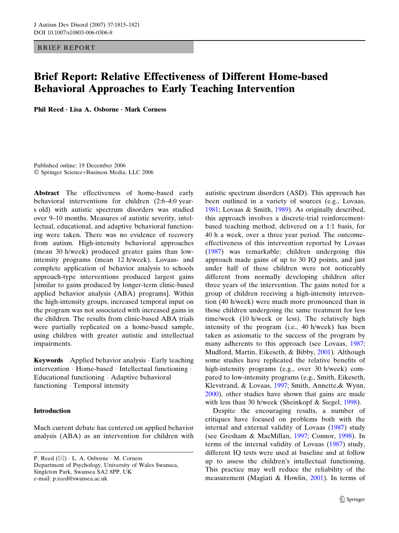BRIEF REPORT

# Brief Report: Relative Effectiveness of Different Home-based Behavioral Approaches to Early Teaching Intervention

Phil Reed  $\cdot$  Lisa A. Osborne  $\cdot$  Mark Corness

Published online: 19 December 2006 Springer Science+Business Media, LLC 2006

Abstract The effectiveness of home-based early behavioral interventions for children (2:6–4:0 years old) with autistic spectrum disorders was studied over 9–10 months. Measures of autistic severity, intellectual, educational, and adaptive behavioral functioning were taken. There was no evidence of recovery from autism. High-intensity behavioral approaches (mean 30 h/week) produced greater gains than lowintensity programs (mean 12 h/week). Lovaas- and complete application of behavior analysis to schools approach-type interventions produced largest gains [similar to gains produced by longer-term clinic-based applied behavior analysis (ABA) programs]. Within the high-intensity groups, increased temporal input on the program was not associated with increased gains in the children. The results from clinic-based ABA trials were partially replicated on a home-based sample, using children with greater autistic and intellectual impairments.

**Keywords** Applied behavior analysis  $\cdot$  Early teaching intervention · Home-based · Intellectual functioning · Educational functioning · Adaptive behavioral functioning · Temporal intensity

## Introduction

Much current debate has centered on applied behavior analysis (ABA) as an intervention for children with

P. Reed  $(\boxtimes)$   $\cdot$  L. A. Osborne  $\cdot$  M. Corness Department of Psychology, University of Wales Swansea, Singleton Park, Swansea SA2 8PP, UK e-mail: p.reed@swansea.ac.uk

autistic spectrum disorders (ASD). This approach has been outlined in a variety of sources (e.g., Lovaas, [1981](#page-6-0); Lovaas & Smith, [1989](#page-6-0)). As originally described, this approach involves a discrete-trial reinforcementbased teaching method, delivered on a 1:1 basis, for 40 h a week, over a three year period. The outcomeeffectiveness of this intervention reported by Lovaas [\(1987](#page-6-0)) was remarkable; children undergoing this approach made gains of up to 30 IQ points, and just under half of these children were not noticeably different from normally developing children after three years of the intervention. The gains noted for a group of children receiving a high-intensity intervention (40 h/week) were much more pronounced than in those children undergoing the same treatment for less time/week (10 h/week or less). The relatively high intensity of the program (i.e., 40 h/week) has been taken as axiomatic to the success of the program by many adherents to this approach (see Lovaas, [1987](#page-6-0); Mudford, Martin, Eikeseth, & Bibby, [2001\)](#page-6-0). Although some studies have replicated the relative benefits of high-intensity programs (e.g., over 30 h/week) compared to low-intensity programs (e.g., Smith, Eikeseth, Klevstrand, & Lovaas, [1997;](#page-6-0) Smith, Annette,& Wynn, [2000](#page-6-0)), other studies have shown that gains are made with less than 30 h/week (Sheinkopf & Siegel, [1998\)](#page-6-0).

Despite the encouraging results, a number of critiques have focused on problems both with the internal and external validity of Lovaas [\(1987](#page-6-0)) study (see Gresham & MacMillan, [1997;](#page-6-0) Connor, [1998\)](#page-6-0). In terms of the internal validity of Lovaas [\(1987](#page-6-0)) study, different IQ tests were used at baseline and at follow up to assess the children's intellectual functioning. This practice may well reduce the reliability of the measurement (Magiati & Howlin, [2001\)](#page-6-0). In terms of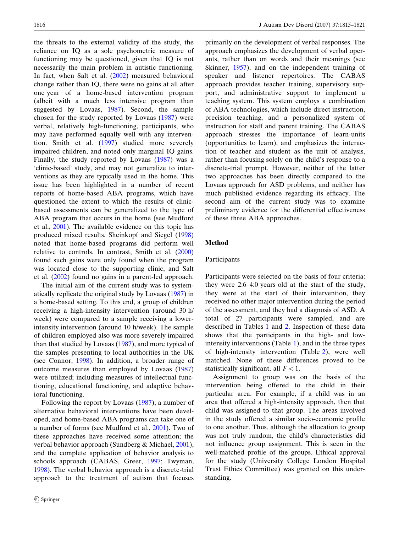the threats to the external validity of the study, the reliance on IQ as a sole psychometric measure of functioning may be questioned, given that IQ is not necessarily the main problem in autistic functioning. In fact, when Salt et al. ([2002\)](#page-6-0) measured behavioral change rather than IQ, there were no gains at all after one year of a home-based intervention program (albeit with a much less intensive program than suggested by Lovaas, [1987](#page-6-0)). Second, the sample chosen for the study reported by Lovaas ([1987\)](#page-6-0) were verbal, relatively high-functioning, participants, who may have performed equally well with any intervention. Smith et al. ([1997\)](#page-6-0) studied more severely impaired children, and noted only marginal IQ gains. Finally, the study reported by Lovaas [\(1987](#page-6-0)) was a 'clinic-based' study, and may not generalize to interventions as they are typically used in the home. This issue has been highlighted in a number of recent reports of home-based ABA programs, which have questioned the extent to which the results of clinicbased assessments can be generalized to the type of ABA program that occurs in the home (see Mudford et al., [2001\)](#page-6-0). The available evidence on this topic has produced mixed results. Sheinkopf and Siegel ([1998\)](#page-6-0) noted that home-based programs did perform well relative to controls. In contrast, Smith et al. ([2000\)](#page-6-0) found such gains were only found when the program was located close to the supporting clinic, and Salt et al. [\(2002](#page-6-0)) found no gains in a parent-led approach.

The initial aim of the current study was to systematically replicate the original study by Lovaas ([1987\)](#page-6-0) in a home-based setting. To this end, a group of children receiving a high-intensity intervention (around 30 h/ week) were compared to a sample receiving a lowerintensity intervention (around 10 h/week). The sample of children employed also was more severely impaired than that studied by Lovaas  $(1987)$  $(1987)$ , and more typical of the samples presenting to local authorities in the UK (see Connor, [1998](#page-6-0)). In addition, a broader range of outcome measures than employed by Lovaas ([1987\)](#page-6-0) were utilized; including measures of intellectual functioning, educational functioning, and adaptive behavioral functioning.

Following the report by Lovaas ([1987\)](#page-6-0), a number of alternative behavioral interventions have been developed, and home-based ABA programs can take one of a number of forms (see Mudford et al., [2001](#page-6-0)). Two of these approaches have received some attention; the verbal behavior approach (Sundberg & Michael, [2001](#page-6-0)), and the complete application of behavior analysis to schools approach (CABAS, Greer, [1997](#page-6-0); Twyman, [1998](#page-6-0)). The verbal behavior approach is a discrete-trial approach to the treatment of autism that focuses

primarily on the development of verbal responses. The approach emphasizes the development of verbal operants, rather than on words and their meanings (see Skinner, [1957](#page-6-0)), and on the independent training of speaker and listener repertoires. The CABAS approach provides teacher training, supervisory support, and administrative support to implement a teaching system. This system employs a combination of ABA technologies, which include direct instruction, precision teaching, and a personalized system of instruction for staff and parent training. The CABAS approach stresses the importance of learn-units (opportunities to learn), and emphasizes the interaction of teacher and student as the unit of analysis, rather than focusing solely on the child's response to a discrete-trial prompt. However, neither of the latter two approaches has been directly compared to the Lovaas approach for ASD problems, and neither has much published evidence regarding its efficacy. The second aim of the current study was to examine preliminary evidence for the differential effectiveness of these three ABA approaches.

## Method

### Participants

Participants were selected on the basis of four criteria: they were 2:6–4:0 years old at the start of the study, they were at the start of their intervention, they received no other major intervention during the period of the assessment, and they had a diagnosis of ASD. A total of 27 participants were sampled, and are described in Tables [1](#page-2-0) and [2](#page-2-0). Inspection of these data shows that the participants in the high- and lowintensity interventions (Table [1\)](#page-2-0), and in the three types of high-intensity intervention (Table [2\)](#page-2-0), were well matched. None of these differences proved to be statistically significant, all  $F < 1$ .

Assignment to group was on the basis of the intervention being offered to the child in their particular area. For example, if a child was in an area that offered a high-intensity approach, then that child was assigned to that group. The areas involved in the study offered a similar socio-economic profile to one another. Thus, although the allocation to group was not truly random, the child's characteristics did not influence group assignment. This is seen in the well-matched profile of the groups. Ethical approval for the study (University College London Hospital Trust Ethics Committee) was granted on this understanding.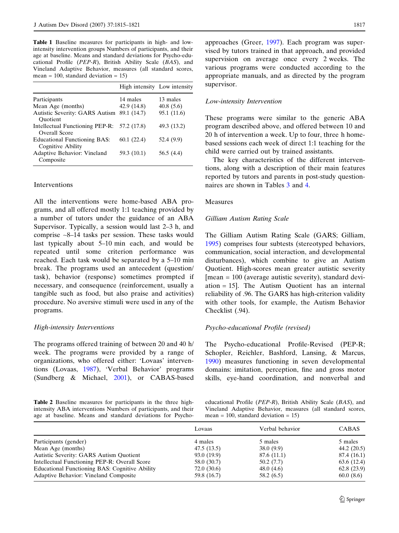<span id="page-2-0"></span>Table 1 Baseline measures for participants in high- and lowintensity intervention groups Numbers of participants, and their age at baseline. Means and standard deviations for Psycho-educational Profile (PEP-R), British Ability Scale (BAS), and Vineland Adaptive Behavior, measures (all standard scores, mean = 100, standard deviation =  $15$ )

|                                                              | High intensity Low intensity |             |
|--------------------------------------------------------------|------------------------------|-------------|
| Participants                                                 | 14 males                     | 13 males    |
| Mean Age (months)                                            | 42.9 (14.8)                  | 40.8(5.6)   |
| <b>Autistic Severity: GARS Autism</b><br>Ouotient            | 89.1 (14.7)                  | 95.1 (11.6) |
| Intellectual Functioning PEP-R: 57.2 (17.8)<br>Overall Score |                              | 49.3 (13.2) |
| <b>Educational Functioning BAS:</b><br>Cognitive Ability     | 60.1(22.4)                   | 52.4 (9.9)  |
| Adaptive Behavior: Vineland<br>Composite                     | 59.3 (10.1)                  | 56.5 (4.4)  |

#### Interventions

All the interventions were home-based ABA programs, and all offered mostly 1:1 teaching provided by a number of tutors under the guidance of an ABA Supervisor. Typically, a session would last 2–3 h, and comprise ~8–14 tasks per session. These tasks would last typically about 5–10 min each, and would be repeated until some criterion performance was reached. Each task would be separated by a 5–10 min break. The programs used an antecedent (question/ task), behavior (response) sometimes prompted if necessary, and consequence (reinforcement, usually a tangible such as food, but also praise and activities) procedure. No aversive stimuli were used in any of the programs.

#### High-intensity Interventions

The programs offered training of between 20 and 40 h/ week. The programs were provided by a range of organizations, who offered either: 'Lovaas' interventions (Lovaas, [1987\)](#page-6-0), 'Verbal Behavior' programs (Sundberg & Michael, [2001](#page-6-0)), or CABAS-based

Table 2 Baseline measures for participants in the three highintensity ABA interventions Numbers of participants, and their age at baseline. Means and standard deviations for Psycho-

approaches (Greer, [1997](#page-6-0)). Each program was supervised by tutors trained in that approach, and provided supervision on average once every 2 weeks. The various programs were conducted according to the appropriate manuals, and as directed by the program supervisor.

## Low-intensity Intervention

These programs were similar to the generic ABA program described above, and offered between 10 and 20 h of intervention a week. Up to four, three h homebased sessions each week of direct 1:1 teaching for the child were carried out by trained assistants.

The key characteristics of the different interventions, along with a description of their main features reported by tutors and parents in post-study questionnaires are shown in Tables [3](#page-3-0) and [4](#page-3-0).

## Measures

#### Gilliam Autism Rating Scale

The Gilliam Autism Rating Scale (GARS; Gilliam, [1995](#page-6-0)) comprises four subtests (stereotyped behaviors, communication, social interaction, and developmental disturbances), which combine to give an Autism Quotient. High-scores mean greater autistic severity [mean = 100 (average autistic severity), standard deviation = 15]. The Autism Quotient has an internal reliability of .96. The GARS has high-criterion validity with other tools, for example, the Autism Behavior Checklist (.94).

#### Psycho-educational Profile (revised)

The Psycho-educational Profile-Revised (PEP-R; Schopler, Reichler, Bashford, Lansing, & Marcus, [1990](#page-6-0)) measures functioning in seven developmental domains: imitation, perception, fine and gross motor skills, eye-hand coordination, and nonverbal and

educational Profile (PEP-R), British Ability Scale (BAS), and Vineland Adaptive Behavior, measures (all standard scores, mean = 100, standard deviation =  $15$ )

|                                                | Lovaas      | Verbal behavior | <b>CABAS</b>  |
|------------------------------------------------|-------------|-----------------|---------------|
| Participants (gender)                          | 4 males     | 5 males         | 5 males       |
| Mean Age (months)                              | 47.5 (13.5) | 38.0(9.9)       | 44.2 $(20.5)$ |
| <b>Autistic Severity: GARS Autism Quotient</b> | 93.0 (19.9) | 87.6 (11.1)     | 87.4 (16.1)   |
| Intellectual Functioning PEP-R: Overall Score  | 58.0 (30.7) | 50.2(7.7)       | 63.6 (12.4)   |
| Educational Functioning BAS: Cognitive Ability | 72.0 (30.6) | 48.0 $(4.6)$    | 62.8(23.9)    |
| Adaptive Behavior: Vineland Composite          | 59.8 (16.7) | 58.2(6.5)       | 60.0(8.6)     |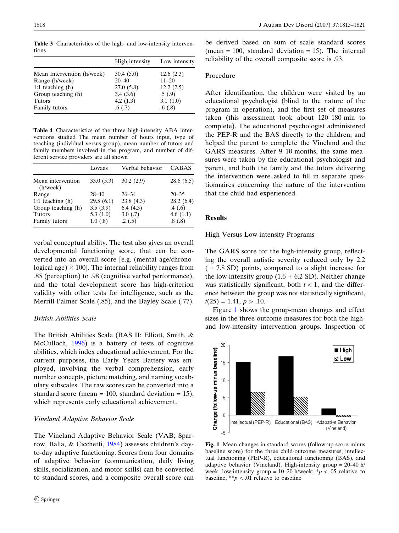<span id="page-3-0"></span>1818 J Autism Dev Disord (2007) 37:1815–1821

Table 3 Characteristics of the high- and low-intensity interventions

|                            | High intensity | Low intensity |
|----------------------------|----------------|---------------|
| Mean Intervention (h/week) | 30.4(5.0)      | 12.6(2.3)     |
| Range (h/week)             | $20 - 40$      | $11 - 20$     |
| 1:1 teaching $(h)$         | 27.0(5.8)      | 12.2(2.5)     |
| Group teaching (h)         | 3.4(3.6)       | .5(0.9)       |
| <b>Tutors</b>              | 4.2 $(1.3)$    | 3.1(1.0)      |
| Family tutors              | .6(0.7)        | .6(0.8)       |

Table 4 Characteristics of the three high-intensity ABA interventions studied The mean number of hours input, type of teaching (individual versus group), mean number of tutors and family members involved in the program, and number of different service providers are all shown

|                               | Lovaas      | Verbal behavior | CABAS     |
|-------------------------------|-------------|-----------------|-----------|
| Mean intervention<br>(h/week) | 33.0(5.3)   | 30.2(2.9)       | 28.6(6.5) |
| Range                         | $28 - 40$   | $26 - 34$       | $20 - 35$ |
| 1:1 teaching $(h)$            | 29.5(6.1)   | 23.8(4.3)       | 28.2(6.4) |
| Group teaching (h)            | 3.5(3.9)    | 6.4(4.3)        | .4(0.6)   |
| <b>Tutors</b>                 | 5.3 $(1.0)$ | 3.0(0.7)        | 4.6(1.1)  |
| Family tutors                 | 1.0(0.8)    | .2(.5)          | .8(0.8)   |

verbal conceptual ability. The test also gives an overall developmental functioning score, that can be converted into an overall score [e.g. (mental age/chronological age)  $\times$  100]. The internal reliability ranges from .85 (perception) to .98 (cognitive verbal performance), and the total development score has high-criterion validity with other tests for intelligence, such as the Merrill Palmer Scale (.85), and the Bayley Scale (.77).

# British Abilities Scale

The British Abilities Scale (BAS II; Elliott, Smith, & McCulloch, [1996](#page-6-0)) is a battery of tests of cognitive abilities, which index educational achievement. For the current purposes, the Early Years Battery was employed, involving the verbal comprehension, early number concepts, picture matching, and naming vocabulary subscales. The raw scores can be converted into a standard score (mean = 100, standard deviation = 15), which represents early educational achievement.

## Vineland Adaptive Behavior Scale

The Vineland Adaptive Behavior Scale (VAB; Sparrow, Balla, & Cicchetti, [1984\)](#page-6-0) assesses children's dayto-day adaptive functioning. Scores from four domains of adaptive behavior (communication, daily living skills, socialization, and motor skills) can be converted to standard scores, and a composite overall score can

be derived based on sum of scale standard scores (mean  $= 100$ , standard deviation  $= 15$ ). The internal reliability of the overall composite score is .93.

### Procedure

After identification, the children were visited by an educational psychologist (blind to the nature of the program in operation), and the first set of measures taken (this assessment took about 120–180 min to complete). The educational psychologist administered the PEP-R and the BAS directly to the children, and helped the parent to complete the Vineland and the GARS measures. After 9–10 months, the same measures were taken by the educational psychologist and parent, and both the family and the tutors delivering the intervention were asked to fill in separate questionnaires concerning the nature of the intervention that the child had experienced.

## Results

High Versus Low-intensity Programs

The GARS score for the high-intensity group, reflecting the overall autistic severity reduced only by 2.2  $( \pm 7.8$  SD) points, compared to a slight increase for the low-intensity group  $(1.6 + 6.2 \text{ SD})$ . Neither change was statistically significant, both  $t < 1$ , and the difference between the group was not statistically significant,  $t(25) = 1.41, p > .10.$ 

Figure 1 shows the group-mean changes and effect sizes in the three outcome measures for both the highand low-intensity intervention groups. Inspection of



Fig. 1 Mean changes in standard scores (follow-up score minus baseline score) for the three child-outcome measures; intellectual functioning (PEP-R), educational functioning (BAS), and adaptive behavior (Vineland). High-intensity group = 20–40 h/ week, low-intensity group = 10–20 h/week;  $* p < .05$  relative to baseline,  $* p < .01$  relative to baseline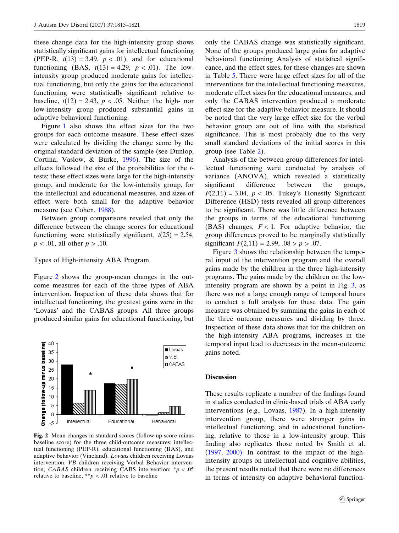these change data for the high-intensity group shows statistically significant gains for intellectual functioning (PEP-R,  $t(13) = 3.49$ ,  $p < .01$ ), and for educational functioning (BAS,  $t(13) = 4.29$ ,  $p < .01$ ). The lowintensity group produced moderate gains for intellectual functioning, but only the gains for the educational functioning were statistically significant relative to baseline,  $t(12) = 2.43$ ,  $p < .05$ . Neither the high-nor low-intensity group produced substantial gains in adaptive behavioral functioning.

Figure [1](#page-3-0) also shows the effect sizes for the two groups for each outcome measure. These effect sizes were calculated by dividing the change score by the original standard deviation of the sample (see Dunlop, Cortina, Vaslow, & Burke, [1996](#page-6-0)). The size of the effects followed the size of the probabilities for the ttests; these effect sizes were large for the high-intensity group, and moderate for the low-intensity group, for the intellectual and educational measures, and sizes of effect were both small for the adaptive behavior measure (see Cohen, [1988\)](#page-6-0).

Between group comparisons reveled that only the difference between the change scores for educational functioning were statistically significant,  $t(25) = 2.54$ ,  $p < .01$ , all other  $p > .10$ .

#### Types of High-intensity ABA Program

Figure 2 shows the group-mean changes in the outcome measures for each of the three types of ABA intervention. Inspection of these data shows that for intellectual functioning, the greatest gains were in the 'Lovaas' and the CABAS groups. All three groups produced similar gains for educational functioning, but



Fig. 2 Mean changes in standard scores (follow-up score minus baseline score) for the three child-outcome measures; intellectual functioning (PEP-R), educational functioning (BAS), and adaptive behavior (Vineland). Lovaas children receiving Lovaas intervention, VB children receiving Verbal Behavior intervention, CABAS children receiving CABS intervention;  $* p < .05$ relative to baseline, \*\*p < .01 relative to baseline

only the CABAS change was statistically significant. None of the groups produced large gains for adaptive behavioral functioning Analysis of statistical significance, and the effect sizes, for these changes are shown in Table [5.](#page-5-0) There were large effect sizes for all of the interventions for the intellectual functioning measures, moderate effect sizes for the educational measures, and only the CABAS intervention produced a moderate effect size for the adaptive behavior measure. It should be noted that the very large effect size for the verbal behavior group are out of line with the statistical significance. This is most probably due to the very small standard deviations of the initial scores in this group (see Table [2](#page-2-0)).

Analysis of the between-group differences for intellectual functioning were conducted by analysis of variance (ANOVA), which revealed a statistically significant difference between the groups,  $F(2,11) = 3.04$ ,  $p < .05$ . Tukey's Honestly Significant Difference (HSD) tests revealed all group differences to be significant. There was little difference between the groups in terms of the educational functioning (BAS) changes,  $F < 1$ . For adaptive behavior, the group differences proved to be marginally statistically significant  $F(2,11) = 2.99, .08 > p > .07$ .

Figure [3](#page-5-0) shows the relationship between the temporal input of the intervention program and the overall gains made by the children in the three high-intensity programs. The gains made by the children on the lowintensity program are shown by a point in Fig. [3,](#page-5-0) as there was not a large enough range of temporal hours to conduct a full analysis for these data. The gain measure was obtained by summing the gains in each of the three outcome measures and dividing by three. Inspection of these data shows that for the children on the high-intensity ABA programs, increases in the temporal input lead to decreases in the mean-outcome gains noted.

#### **Discussion**

These results replicate a number of the findings found in studies conducted in clinic-based trials of ABA early interventions (e.g., Lovaas, [1987](#page-6-0)). In a high-intensity intervention group, there were stronger gains in intellectual functioning, and in educational functioning, relative to those in a low-intensity group. This finding also replicates those noted by Smith et al. [\(1997](#page-6-0), [2000\).](#page-6-0) In contrast to the impact of the highintensity groups on intellectual and cognitive abilities, the present results noted that there were no differences in terms of intensity on adaptive behavioral function-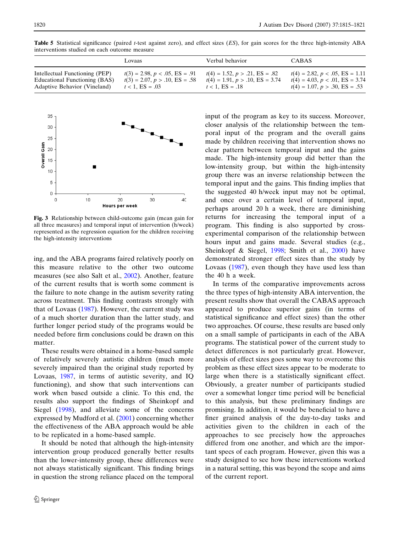|                                | Lovaas                           | Verbal behavior                   | <b>CABAS</b>                      |
|--------------------------------|----------------------------------|-----------------------------------|-----------------------------------|
| Intellectual Functioning (PEP) | $t(3) = 2.98, p < .05, ES = .91$ | $t(4) = 1.52, p > .21, ES = .82$  | $t(4) = 2.82, p < .05, ES = 1.11$ |
| Educational Functioning (BAS)  | $t(3) = 2.07, p > .10, ES = .58$ | $t(4) = 1.91, p > .10, ES = 3.74$ | $t(4) = 4.03, p < .01, ES = 3.74$ |
| Adaptive Behavior (Vineland)   | $t < 1$ , ES = .03               | $t < 1$ , $ES = .18$              | $t(4) = 1.07, p > .30, ES = .53$  |

<span id="page-5-0"></span>Table 5 Statistical significance (paired t-test against zero), and effect sizes (ES), for gain scores for the three high-intensity ABA interventions studied on each outcome measure



Fig. 3 Relationship between child-outcome gain (mean gain for all three measures) and temporal input of intervention (h/week) represented as the regression equation for the children receiving the high-intensity interventions

ing, and the ABA programs faired relatively poorly on this measure relative to the other two outcome measures (see also Salt et al., [2002\)](#page-6-0). Another, feature of the current results that is worth some comment is the failure to note change in the autism severity rating across treatment. This finding contrasts strongly with that of Lovaas [\(1987](#page-6-0)). However, the current study was of a much shorter duration than the latter study, and further longer period study of the programs would be needed before firm conclusions could be drawn on this matter.

These results were obtained in a home-based sample of relatively severely autistic children (much more severely impaired than the original study reported by Lovaas, [1987](#page-6-0), in terms of autistic severity, and IQ functioning), and show that such interventions can work when based outside a clinic. To this end, the results also support the findings of Sheinkopf and Siegel ([1998\)](#page-6-0), and alleviate some of the concerns expressed by Mudford et al. ([2001\)](#page-6-0) concerning whether the effectiveness of the ABA approach would be able to be replicated in a home-based sample.

It should be noted that although the high-intensity intervention group produced generally better results than the lower-intensity group, these differences were not always statistically significant. This finding brings in question the strong reliance placed on the temporal input of the program as key to its success. Moreover, closer analysis of the relationship between the temporal input of the program and the overall gains made by children receiving that intervention shows no clear pattern between temporal input and the gains made. The high-intensity group did better than the low-intensity group, but within the high-intensity group there was an inverse relationship between the temporal input and the gains. This finding implies that the suggested 40 h/week input may not be optimal, and once over a certain level of temporal input, perhaps around 20 h a week, there are diminishing returns for increasing the temporal input of a program. This finding is also supported by crossexperimental comparison of the relationship between hours input and gains made. Several studies (e.g., Sheinkopf & Siegel, [1998;](#page-6-0) Smith et al., [2000\)](#page-6-0) have demonstrated stronger effect sizes than the study by Lovaas [\(1987](#page-6-0)), even though they have used less than the 40 h a week.

In terms of the comparative improvements across the three types of high-intensity ABA intervention, the present results show that overall the CABAS approach appeared to produce superior gains (in terms of statistical significance and effect sizes) than the other two approaches. Of course, these results are based only on a small sample of participants in each of the ABA programs. The statistical power of the current study to detect differences is not particularly great. However, analysis of effect sizes goes some way to overcome this problem as these effect sizes appear to be moderate to large when there is a statistically significant effect. Obviously, a greater number of participants studied over a somewhat longer time period will be beneficial to this analysis, but these preliminary findings are promising. In addition, it would be beneficial to have a finer grained analysis of the day-to-day tasks and activities given to the children in each of the approaches to see precisely how the approaches differed from one another, and which are the important specs of each program. However, given this was a study designed to see how these interventions worked in a natural setting, this was beyond the scope and aims of the current report.